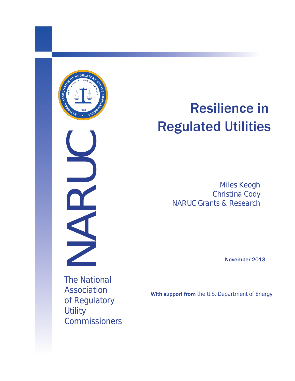

# NARUC

# Resilience in Regulated Utilities

Miles Keogh Christina Cody NARUC Grants & Research

November 2013

The National Association of Regulatory **Utility Commissioners** 

With support from the U.S. Department of Energy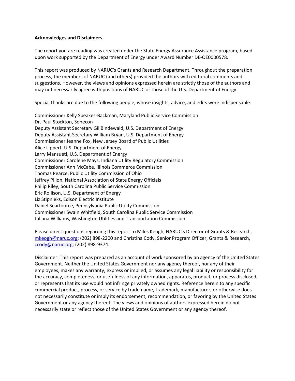### **Acknowledges and Disclaimers**

The report you are reading was created under the State Energy Assurance Assistance program, based upon work supported by the Department of Energy under Award Number DE-OE0000578.

This report was produced by NARUC's Grants and Research Department. Throughout the preparation process, the members of NARUC (and others) provided the authors with editorial comments and suggestions. However, the views and opinions expressed herein are strictly those of the authors and may not necessarily agree with positions of NARUC or those of the U.S. Department of Energy.

Special thanks are due to the following people, whose insights, advice, and edits were indispensable:

Commissioner Kelly Speakes-Backman, Maryland Public Service Commission Dr. Paul Stockton, Sonecon Deputy Assistant Secretary Gil Bindewald, U.S. Department of Energy Deputy Assistant Secretary William Bryan, U.S. Department of Energy Commissioner Jeanne Fox, New Jersey Board of Public Utilities Alice Lippert, U.S. Department of Energy Larry Mansueti, U.S. Department of Energy Commissioner Carolene Mays, Indiana Utility Regulatory Commission Commissioner Ann McCabe, Illinois Commerce Commission Thomas Pearce, Public Utility Commission of Ohio Jeffrey Pillon, National Association of State Energy Officials Philip Riley, South Carolina Public Service Commission Eric Rollison, U.S. Department of Energy Liz Stipnieks, Edison Electric Institute Daniel Searfoorce, Pennsylvania Public Utility Commission Commissioner Swain Whitfield, South Carolina Public Service Commission Juliana Williams, Washington Utilities and Transportation Commission

Please direct questions regarding this report to Miles Keogh, NARUC's Director of Grants & Research, [mkeogh@naruc.org;](mailto:mkeogh@naruc.org) (202) 898-2200 and Christina Cody, Senior Program Officer, Grants & Research, [ccody@naruc.org;](mailto:ccody@naruc.org) (202) 898-9374.

Disclaimer: This report was prepared as an account of work sponsored by an agency of the United States Government. Neither the United States Government nor any agency thereof, nor any of their employees, makes any warranty, express or implied, or assumes any legal liability or responsibility for the accuracy, completeness, or usefulness of any information, apparatus, product, or process disclosed, or represents that its use would not infringe privately owned rights. Reference herein to any specific commercial product, process, or service by trade name, trademark, manufacturer, or otherwise does not necessarily constitute or imply its endorsement, recommendation, or favoring by the United States Government or any agency thereof. The views and opinions of authors expressed herein do not necessarily state or reflect those of the United States Government or any agency thereof.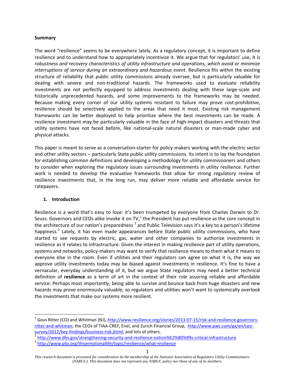### **Summary**

The word "resilience" seems to be everywhere lately. As a regulatory concept, it is important to define resilience and to understand how to appropriately incentivize it. We argue that for regulators' use, it is *robustness and recovery characteristics of utility infrastructure and operations, which avoid or minimize interruptions of service during an extraordinary and hazardous event*. Resilience fits within the existing structure of reliability that public utility commissions already oversee, but is particularly valuable for dealing with severe and non-traditional hazards. The frameworks used to evaluate reliability investments are not perfectly equipped to address investments dealing with these large-scale and historically unprecedented hazards, and some improvements to the frameworks may be needed. Because making every corner of our utility systems resistant to failure may prove cost-prohibitive, resilience should be selectively applied to the areas that need it most. Existing risk management frameworks can be better deployed to help prioritize where the best investments can be made. A resilience investment may be particularly valuable in the face of high-impact disasters and threats that utility systems have not faced before, like national-scale natural disasters or man-made cyber and physical attacks.

This paper is meant to serve as a conversation-starter for policy-makers working with the electric sector and other utility sectors – particularly State public utility commissions. Its intent is to lay the foundation for establishing common definitions and developing a methodology for utility commissioners and others to consider when exploring the regulatory issues surrounding investments in utility resilience. Further work is needed to develop the evaluative frameworks that allow for strong regulatory review of resilience investments that, in the long run, may deliver more reliable and affordable service for ratepayers.

### **1. Introduction**

Resilience is a word that's easy to love: it's been trumpeted by everyone from Charles Darwin to Dr. Seuss. Governors and CEOs alike invoke it on TV,<sup>[1](#page-2-0)</sup> the President has put resilience as the core concept in the architecture of our nation's preparedness  $^2$  $^2$  and Public Television says it's a key to a person's lifetime happiness.<sup>[3](#page-2-2)</sup> Lately, it has even made appearances before State public utility commissions, who have started to see requests by electric, gas, water and other companies to authorize investments in resilience as it relates to infrastructure. Given the interest in making resilience part of utility operations, systems and networks, policy-makers may want to verify that resilience means to them what it means to everyone else in the room. Even if utilities and their regulators can agree on what it is, the way we approve utility investments today may be biased against investments in resilience. It's fine to have a vernacular, everyday understanding of it, but we argue State regulators may need a better technical definition of **resilience** as a term of art in the context of their role assuring reliable and affordable service. Perhaps most importantly, being able to survive and bounce back from huge disasters and new hazards may prove enormously valuable, so regulators and utilities won't want to systemically overlook the investments that make our systems more resilient.

<span id="page-2-0"></span><sup>&</sup>lt;sup>1</sup> Govs Ritter (CO) and Whitman (NJ), [http://www.resilience.org/stories/2013-07-15/risk-and-resilience-governors](http://www.resilience.org/stories/2013-07-15/risk-and-resilience-governors-ritter-and-whitman)[ritter-and-whitman;](http://www.resilience.org/stories/2013-07-15/risk-and-resilience-governors-ritter-and-whitman) the CEOs of TIAA-CREF, Enel, and Zurich Financial Group, [http://www.pwc.com/gx/en/ceo](http://www.pwc.com/gx/en/ceo-survey/2012/key-findings/business-risk.jhtml)[survey/2012/key-findings/business-risk.jhtml,](http://www.pwc.com/gx/en/ceo-survey/2012/key-findings/business-risk.jhtml) and lots of others.<br>
<sup>2</sup> <http://www.dhs.gov/strengthening-security-and-resilience-nation%E2%80%99s-critical-infrastructure><br>
<sup>3</sup> http://www.pbs.org/thisemotionallife/topic/resil

<span id="page-2-1"></span>

<span id="page-2-2"></span>

*This research document is presented for consideration by the membership of the National Association of Regulatory Utility Commissioners (NARUC). This document does not represent any NARUC policy nor those of any of its members.*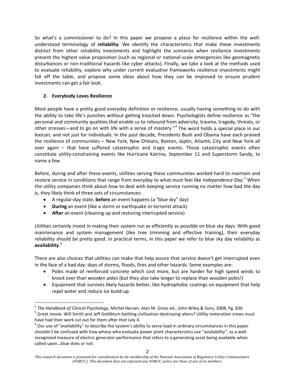So what's a commissioner to do? In this paper we propose a place for resilience within the wellunderstood terminology of **reliability**. We identify the characteristics that make these investments distinct from other reliability investments and highlight the scenarios when resilience investments present the highest value proposition (such as regional or national-scale emergencies like geomagnetic disturbances or non-traditional hazards like cyber attacks). Finally, we take a look at the methods used to evaluate reliability, explore why under current evaluative frameworks resilience investments might fall off the table, and propose some ideas about how they can be improved to ensure prudent investments can get a fair look.

# **2. Everybody Loves Resilience**

Most people have a pretty good everyday definition or resilience, usually having something to do with the ability to take life's punches without getting knocked down. Psychologists define resilience as "the personal and community qualities that enable us to rebound from adversity, trauma, tragedy, threats, or other stresses—and to go on with life with a sense of mastery."[4](#page-3-0) The word holds a special place in our lexicon, and not just for individuals. In the past decade, Presidents Bush and Obama have each praised the resilience of communities – New York, New Orleans, Boston, Joplin, Atlantic City and New York all over again – that have suffered catastrophic and tragic events. Those catastrophic events often constitute utility-constraining events like Hurricane Katrina, September 11 and Superstorm Sandy, to name a few.

Before, during and after these events, utilities serving these communities worked hard to maintain and restore service in conditions that range from everyday to what must feel like *Independence Day*. [5](#page-3-1) When the utility companies think about how to deal with keeping service running no matter how bad the day is, they likely think of three sets of circumstances:

- A regular-day state, **before** an event happens (a "blue sky" day)
- **During** an event (like a storm or earthquake or terrorist attack)
- **After** an event (cleaning up and restoring interrupted service)

Utilities certainly invest in making their system run as efficiently as possible on blue sky days. With good maintenance and system management (like tree trimming and effective training), their everyday reliability should be pretty good. In practical terms, in this paper we refer to blue sky day reliability as **availability**. [6](#page-3-2)

There are also choices that utilities can make that help assure that service doesn't get interrupted even in the face of a bad day: days of storms, floods, fires and other hazards. Some examples are:

- Poles made of reinforced concrete which cost more, but are harder for high speed winds to knock over than wooden poles (but they also take longer to replace than wooden poles!)
- Equipment that survives likely hazards better, like hydrophobic coatings on equipment that help repel water and reduce ice build-up

<span id="page-3-1"></span><span id="page-3-0"></span><sup>&</sup>lt;sup>4</sup> The Handbook of Clinical Psychology, Michel Hersen, Alan M. Gross ed., John Wiley & Sons, 2008, Pg. 836<br><sup>5</sup> Great movie. Will Smith and Jeff Goldblum battling civilization-destroying aliens? Utility restoration crews

<span id="page-3-2"></span>have had their work cut out for them after *that* July 4.<br><sup>6</sup> Our use of "availability" to describe the system's ability to serve load in ordinary circumstances in this paper shouldn't be confused with how whose who evaluate power plant characteristics use "availability", as a wellrecognized measure of electric generator performance that refers to a generating asset being available when called upon…blue skies or not.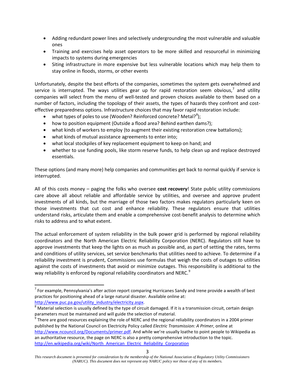- Adding redundant power lines and selectively undergrounding the most vulnerable and valuable ones
- Training and exercises help asset operators to be more skilled and resourceful in minimizing impacts to systems during emergencies
- Siting infrastructure in more expensive but less vulnerable locations which may help them to stay online in floods, storms, or other events

Unfortunately, despite the best efforts of the companies, sometimes the system gets overwhelmed and service is interrupted. The ways utilities gear up for rapid restoration seem obvious, $<sup>7</sup>$  $<sup>7</sup>$  $<sup>7</sup>$  and utility</sup> companies will select from the menu of well-tested and proven choices available to them based on a number of factors, including the topology of their assets, the types of hazards they confront and costeffective preparedness options. Infrastructure choices that may favor rapid restoration include:

- what types of poles to use (Wooden? Reinforced concrete? Metal?<sup>[8](#page-4-1)</sup>);
- how to position equipment (Outside a flood area? Behind earthen dams?);
- what kinds of workers to employ (to augment their existing restoration crew battalions);
- what kinds of mutual assistance agreements to enter into;
- what local stockpiles of key replacement equipment to keep on hand; and
- whether to use funding pools, like storm reserve funds, to help clean up and replace destroyed essentials.

These options (and many more) help companies and communities get back to normal quickly if service is interrupted.

All of this costs money – paging the folks who oversee **cost recovery**! State public utility commissions care above all about reliable and affordable service by utilities, and oversee and approve prudent investments of all kinds, but the marriage of those two factors makes regulators particularly keen on those investments that cut cost and enhance reliability. These regulators ensure that utilities understand risks, articulate them and enable a comprehensive cost-benefit analysis to determine which risks to address and to what extent.

The actual enforcement of system reliability in the bulk power grid is performed by regional reliability coordinators and the North American Electric Reliability Corporation (NERC). Regulators still have to approve investments that keep the lights on as much as possible and, as part of setting the rates, terms and conditions of utility services, set service benchmarks that utilities need to achieve. To determine if a reliability investment is prudent, Commissions use formulas that weigh the costs of outages to utilities against the costs of investments that avoid or minimize outages. This responsibility is additional to the way reliability is enforced by regional reliability coordinators and NERC.<sup>[9](#page-4-2)</sup>

<span id="page-4-0"></span> $<sup>7</sup>$  For example, Pennsylvania's after action report comparing Hurricanes Sandy and Irene provide a wealth of best</sup> practices for positioning ahead of a large natural disaster. Available online at:

<span id="page-4-1"></span>[http://www.puc.pa.gov/utility\\_industry/electricity.aspx.](http://www.puc.pa.gov/utility_industry/electricity.aspx)<br><sup>[8](http://www.puc.pa.gov/utility_industry/electricity.aspx)</sup> Material selection is usually defined by the type of circuit damaged. If it is a transmission circuit, certain design parameters must be maintained and will guide the selection of material.

<span id="page-4-2"></span><sup>9</sup> There are good resources explaining the role of NERC and the regional reliability coordinators in a 2004 primer published by the National Council on Electricity Policy called *Electric Transmission: A Primer*, online at [http://www.ncouncil.org/Documents/primer.pdf.](http://www.ncouncil.org/Documents/primer.pdf) And while we're usually loathe to point people to Wikipedia as an authoritative resource, the page on NERC is also a pretty comprehensive introduction to the topic. [http://en.wikipedia.org/wiki/North\\_American\\_Electric\\_Reliability\\_Corporation](http://en.wikipedia.org/wiki/North_American_Electric_Reliability_Corporation)

*This research document is presented for consideration by the membership of the National Association of Regulatory Utility Commissioners (NARUC). This document does not represent any NARUC policy nor those of any of its members.*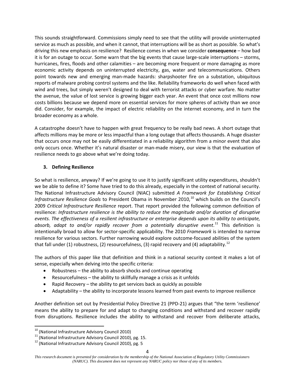This sounds straightforward. Commissions simply need to see that the utility will provide uninterrupted service as much as possible, and when it cannot, that interruptions will be as short as possible. So what's driving this new emphasis on resilience? Resilience comes in when we consider **consequence** – how bad it is for an outage to occur. Some warn that the big events that cause large-scale interruptions – storms, hurricanes, fires, floods and other calamities – are becoming more frequent or more damaging as more economic activity depends on uninterrupted electricity, gas, water and telecommunications. Others point towards new and emerging man-made hazards: sharpshooter fire on a substation, ubiquitous reports of malware probing control systems and the like. Reliability frameworks do well when faced with wind and trees, but simply weren't designed to deal with terrorist attacks or cyber warfare. No matter the avenue, the value of lost service is growing bigger each year. An event that once cost millions now costs billions because we depend more on essential services for more spheres of activity than we once did. Consider, for example, the impact of electric reliability on the internet economy, and in turn the broader economy as a whole.

A catastrophe doesn't have to happen with great frequency to be really bad news. A short outage that affects millions may be more or less impactful than a long outage that affects thousands. A huge disaster that occurs once may not be easily differentiated in a reliability algorithm from a minor event that also only occurs once. Whether it's natural disaster or man-made misery, our view is that the evaluation of resilience needs to go above what we're doing today.

# **3. Defining Resilience**

So what is resilience, anyway? If we're going to use it to justify significant utility expenditures, shouldn't we be able to define it? Some have tried to do this already, especially in the context of national security. The National Infrastructure Advisory Council (NIAC) submitted *A Framework for Establishing Critical Infrastructure Resilience Goals* to President Obama in November 2010, [10](#page-5-0) which builds on the Council's 2009 *Critical Infrastructure Resilience* report. That report provided the following common definition of resilience: *Infrastructure resilience is the ability to reduce the magnitude and/or duration of disruptive events. The effectiveness of a resilient infrastructure or enterprise depends upon its ability to anticipate, absorb, adapt to and/or rapidly recover from a potentially disruptive event*. [11](#page-5-1) This definition is intentionally broad to allow for sector-specific applicability. The 2010 *Framework* is intended to narrow resilience for various sectors. Further narrowing would explore outcome-focused abilities of the system that fall under (1) robustness, (2) resourcefulness, (3) rapid recovery and (4) adaptability.<sup>[12](#page-5-2)</sup>

The authors of this paper like that definition and think in a national security context it makes a lot of sense, especially when delving into the specific criteria:

- Robustness the ability to absorb shocks and continue operating
- Resourcefulness the ability to skillfully manage a crisis as it unfolds
- Rapid Recovery the ability to get services back as quickly as possible
- Adaptability the ability to incorporate lessons learned from past events to improve resilience

Another definition set out by Presidential Policy Directive 21 (PPD-21) argues that "the term 'resilience' means the ability to prepare for and adapt to changing conditions and withstand and recover rapidly from disruptions. Resilience includes the ability to withstand and recover from deliberate attacks,

<span id="page-5-1"></span><span id="page-5-0"></span><sup>&</sup>lt;sup>10</sup> (National Infrastructure Advisory Council 2010)<br><sup>11</sup> (National Infrastructure Advisory Council 2010), pg. 15.<br><sup>12</sup> (National Infrastructure Advisory Council 2010), pg. 5

<span id="page-5-2"></span>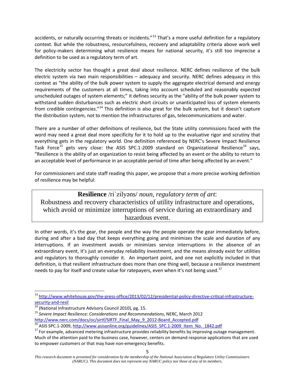accidents, or naturally occurring threats or incidents."<sup>[13](#page-6-0)</sup> That's a more useful definition for a regulatory context. But while the robustness, resourcefulness, recovery and adaptability criteria above work well for policy-makers determining what resilience means for national security, it's still too imprecise a definition to be used as a regulatory term of art.

The electricity sector has thought a great deal about resilience. NERC defines resilience of the bulk electric system via two main responsibilities – adequacy and security. NERC defines adequacy in this context as "the ability of the bulk power system to supply the aggregate electrical demand and energy requirements of the customers at all times, taking into account scheduled and reasonably expected unscheduled outages of system elements;" it defines security as the "ability of the bulk power system to withstand sudden disturbances such as electric short circuits or unanticipated loss of system elements from credible contingencie*s*."[14](#page-6-1) This definition is also great for the bulk system, but it doesn't capture the distribution system, not to mention the infrastructures of gas, telecommunications and water.

There are a number of other definitions of resilience, but the State utility commissions faced with the word may need a great deal more specificity for it to hold up to the evaluative rigor and scrutiny that everything gets in the regulatory world. One definition referenced by NERC's Severe Impact Resilience Task Force<sup>[15](#page-6-2)</sup> gets very close: the ASIS SPC.1-2009 standard on Organizational Resilience<sup>[16](#page-6-3)</sup> says, "Resilience is the ability of an organization to resist being affected by an event or the ability to return to an acceptable level of performance in an acceptable period of time after being affected by an event."

For commissioners and state staff reading this paper, we propose that a more precise working definition of resilience may be helpful:

**Resilience** /riˈzilyəns/ *noun, regulatory term of art*: Robustness and recovery characteristics of utility infrastructure and operations, which avoid or minimize interruptions of service during an extraordinary and hazardous event.

In other words, it's the gear, the people and the way the people operate the gear immediately before, during and after a bad day that keeps everything going and minimizes the scale and duration of any interruptions. If an investment avoids or minimizes service interruptions in the absence of an extraordinary event, it's just an everyday reliability investment, and the means already exist for utilities and regulators to thoroughly consider it. An important point, and one not explicitly included in that definition, is that resilient infrastructure does more than one thing well, because a resilience investment needs to pay for itself and create value for ratepayers, even when it's not being used.<sup>[17](#page-6-4)</sup>

 <sup>13</sup> [http://www.whitehouse.gov/the-press-office/2013/02/12/presidential-policy-directive-critical-infrastructure-](http://www.whitehouse.gov/the-press-office/2013/02/12/presidential-policy-directive-critical-infrastructure-security-and-resil)

<span id="page-6-2"></span>

<span id="page-6-1"></span><span id="page-6-0"></span>[security-and-resil](http://www.whitehouse.gov/the-press-office/2013/02/12/presidential-policy-directive-critical-infrastructure-security-and-resil)<br><sup>14</sup> (National Infrastructure Advisory Council 2010), pg. 15.<br><sup>15</sup> *Severe Impact Resilience: Considerations and Recommendations*, NERC, March 2012<br>http://www.nerc.com/docs/oc/sirtf/SIRTF Final May 9 201

<span id="page-6-4"></span><span id="page-6-3"></span><sup>&</sup>lt;sup>16</sup> ASIS SPC.1-2009, http://www.asisonline.org/guidelines/ASIS SPC.1-2009 Item No. 1842.pdf<br><sup>17</sup> For example, advanced metering infrastructure provides reliability benefits by improving outage management. Much of the attention paid to the business case, however, centers on demand response applications that are used to empower customers or that may have non-emergency benefits.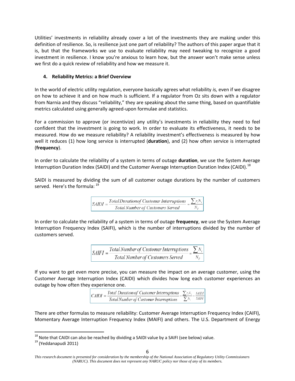Utilities' investments in reliability already cover a lot of the investments they are making under this definition of resilience. So, is resilience just one part of reliability? The authors of this paper argue that it is, but that the frameworks we use to evaluate reliability may need tweaking to recognize a good investment in resilience. I know you're anxious to learn how, but the answer won't make sense unless we first do a quick review of reliability and how we measure it.

# **4. Reliability Metrics: a Brief Overview**

In the world of electric utility regulation, everyone basically agrees what reliability *is,* even if we disagree on how to achieve it and on how much is sufficient. If a regulator from Oz sits down with a regulator from Narnia and they discuss "reliability," they are speaking about the same thing, based on quantifiable metrics calculated using generally agreed-upon formulae and statistics.

For a commission to approve (or incentivize) any utility's investments in reliability they need to feel confident that the investment is going to work. In order to evaluate its effectiveness, it needs to be measured. How do we measure reliability? A reliability investment's effectiveness is measured by how well it reduces (1) how long service is interrupted (**duration**), and (2) how often service is interrupted (**frequency**).

In order to calculate the reliability of a system in terms of outage **duration**, we use the System Average Interruption Duration Index (SAIDI) and the Customer Average Interruption Duration Index (CAIDI).<sup>[18](#page-7-0)</sup>

SAIDI is measured by dividing the sum of all customer outage durations by the number of customers served. Here's the formula: <sup>[19](#page-7-1)</sup>



In order to calculate the reliability of a system in terms of outage **frequency**, we use the System Average Interruption Frequency Index (SAIFI), which is the number of interruptions divided by the number of customers served.

 $SAIFI = \frac{Total Number of Customer Interruptions}{Total Number of Customer Services Served} =$ 

If you want to get even more precise, you can measure the impact on an average customer, using the Customer Average Interruption Index (CAIDI) which divides how long each customer experiences an outage by how often they experience one.

> Total Duration of Customer Interruptions  $\sum_{i} r_i N_i$ **SAIDI**  $CAIDI =$ Total Number of Customer Interruptions **SAIFI**

There are other formulas to measure reliability: Customer Average Interruption Frequency Index (CAIFI), Momentary Average Interruption Frequency Index (MAIFI) and others. The U.S. Department of Energy

<span id="page-7-0"></span><sup>&</sup>lt;sup>18</sup> Note that CAIDI can also be reached by dividing a SAIDI value by a SAIFI (see below) value.<br><sup>19</sup> (Yeddanapudi 2011)

<span id="page-7-1"></span>

*This research document is presented for consideration by the membership of the National Association of Regulatory Utility Commissioners (NARUC). This document does not represent any NARUC policy nor those of any of its members.*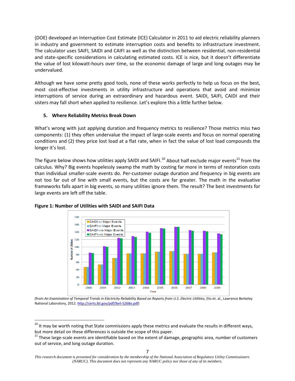(DOE) developed an Interruption Cost Estimate (ICE) Calculator in 2011 to aid electric reliability planners in industry and government to estimate interruption costs and benefits to infrastructure investment. The calculator uses SAIFI, SAIDI and CAIFI as well as the distinction between residential, non-residential and state-specific considerations in calculating estimated costs. ICE is nice, but it doesn't differentiate the value of lost kilowatt-hours over time, so the economic damage of large and long outages may be undervalued.

Although we have some pretty good tools, none of these works perfectly to help us focus on the best, most cost-effective investments in utility infrastructure and operations that avoid and minimize interruptions of service during an extraordinary and hazardous event. SAIDI, SAIFI, CAIDI and their sisters may fall short when applied to resilience. Let's explore this a little further below.

### **5. Where Reliability Metrics Break Down**

What's wrong with just applying duration and frequency metrics to resilience? Those metrics miss two components: (1) they often undervalue the impact of large-scale events and focus on normal operating conditions and (2) they price lost load at a flat rate, when in fact the value of lost load compounds the longer it's lost.

The figure below shows how utilities apply SAIDI and SAIFI.<sup>[20](#page-8-0)</sup> About half exclude major events<sup>[21](#page-8-1)</sup> from the calculus. Why? Big events hopelessly swamp the math by costing far more in terms of restoration costs than individual smaller-scale events do. Per-customer outage duration and frequency in big events are not too far out of line with small events, but the costs are far greater. The math in the evaluative frameworks falls apart in big events, so many utilities ignore them. The result? The best investments for large events are left off the table.



### **Figure 1: Number of Utilities with SAIDI and SAIFI Data**

(from *An Examination of Temporal Trends in Electricity Reliability Based on Reports from U.S. Electric Utilities,* Eto et. al., Lawrence Berkeley National Laboratory, 2012. [http://certs.lbl.gov/pdf/lbnl-5268e.pdf\)](http://certs.lbl.gov/pdf/lbnl-5268e.pdf)

<span id="page-8-0"></span><sup>&</sup>lt;sup>20</sup> It may be worth noting that State commissions apply these metrics and evaluate the results in different ways, but more detail on these differences is outside the scope of this paper.

<span id="page-8-1"></span><sup>&</sup>lt;sup>21</sup> These large-scale events are identifiable based on the extent of damage, geographic area, number of customers out of service, and long outage duration.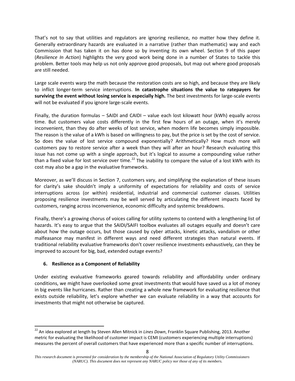That's not to say that utilities and regulators are ignoring resilience, no matter how they define it. Generally extraordinary hazards are evaluated in a narrative (rather than mathematic) way and each Commission that has taken it on has done so by inventing its own wheel. Section 9 of this paper (*Resilience In Action*) highlights the very good work being done in a number of States to tackle this problem. Better tools may help us not only approve good proposals, but map out where good proposals are still needed.

Large scale events warp the math because the restoration costs are so high, and because they are likely to inflict longer-term service interruptions. **In catastrophe situations the value to ratepayers for surviving the event without losing service is especially high.** The best investments for large-scale events will not be evaluated if you ignore large-scale events.

Finally, the duration formulas – SAIDI and CAIDI – value each lost kilowatt hour (kWh) equally across time. But customers value costs differently in the first few hours of an outage, when it's merely inconvenient, than they do after weeks of lost service, when modern life becomes simply impossible. The reason is the value of a kWh is based on willingness to pay, but the price is set by the cost of service. So does the value of lost service compound exponentially? Arithmetically? How much more will customers pay to restore service after a week than they will after an hour? Research evaluating this issue has not come up with a single approach, but it's logical to assume a compounding value rather than a fixed value for lost service over time.<sup>[22](#page-9-0)</sup> The inability to compare the value of a lost kWh with its cost may also be a gap in the evaluative frameworks.

Moreover, as we'll discuss in Section 7, customers vary, and simplifying the explanation of these issues for clarity's sake shouldn't imply a uniformity of expectations for reliability and costs of service interruptions across (or within) residential, industrial and commercial customer classes. Utilities proposing resilience investments may be well served by articulating the different impacts faced by customers, ranging across inconvenience, economic difficulty and systemic breakdowns.

Finally, there's a growing chorus of voices calling for utility systems to contend with a lengthening list of hazards. It's easy to argue that the SAIDI/SAIFI toolbox evaluates all outages equally and doesn't care about how the outage occurs, but those caused by cyber attacks, kinetic attacks, vandalism or other malfeasance may manifest in different ways and need different strategies than natural events. If traditional reliability evaluative frameworks don't cover resilience investments exhaustively, can they be improved to account for big, bad, extended outage events?

# **6. Resilience as a Component of Reliability**

Under existing evaluative frameworks geared towards reliability and affordability under ordinary conditions, we might have overlooked some great investments that would have saved us a lot of money in big events like hurricanes. Rather than creating a whole new framework for evaluating resilience that exists outside reliability, let's explore whether we can evaluate reliability in a way that accounts for investments that might not otherwise be captured.

<span id="page-9-0"></span> <sup>22</sup> An idea explored at length by Steven Allen Mitnick in *Lines Down*, Franklin Square Publishing, 2013. Another metric for evaluating the likelihood of customer impact is CEMI (customers experiencing multiple interruptions) measures the percent of overall customers that have experienced more than a specific number of interruptions.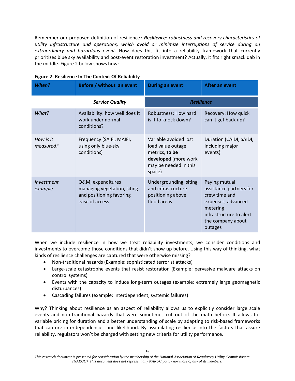Remember our proposed definition of resilience? *Resilience: robustness and recovery characteristics of utility infrastructure and operations, which avoid or minimize interruptions of service during an extraordinary and hazardous event*. How does this fit into a reliability framework that currently prioritizes blue sky availability and post-event restoration investment? Actually, it fits right smack dab in the middle. Figure 2 below shows how:

| <b>When?</b>           | Before / without an event                                                                      | <b>During an event</b>                                                                                                  | After an event                                                                                                                                         |
|------------------------|------------------------------------------------------------------------------------------------|-------------------------------------------------------------------------------------------------------------------------|--------------------------------------------------------------------------------------------------------------------------------------------------------|
|                        | <b>Service Quality</b>                                                                         | <b>Resilience</b>                                                                                                       |                                                                                                                                                        |
| What?                  | Availability: how well does it<br>work under normal<br>conditions?                             | Robustness: How hard<br>is it to knock down?                                                                            | Recovery: How quick<br>can it get back up?                                                                                                             |
| How is it<br>measured? | Frequency (SAIFI, MAIFI,<br>using only blue-sky<br>conditions)                                 | Variable avoided lost<br>load value outage<br>metrics, to be<br>developed (more work<br>may be needed in this<br>space) | Duration (CAIDI, SAIDI,<br>including major<br>events)                                                                                                  |
| Investment<br>example  | O&M, expenditures<br>managing vegetation, siting<br>and positioning favoring<br>ease of access | Undergrounding, siting<br>and infrastructure<br>positioning above<br>flood areas                                        | Paying mutual<br>assistance partners for<br>crew time and<br>expenses, advanced<br>metering<br>infrastructure to alert<br>the company about<br>outages |

# **Figure 2: Resilience In The Context Of Reliability**

When we include resilience in how we treat reliability investments, we consider conditions and investments to overcome those conditions that didn't show up before. Using this way of thinking, what kinds of resilience challenges are captured that were otherwise missing?

- Non-traditional hazards (Example: sophisticated terrorist attacks)
- Large-scale catastrophe events that resist restoration (Example: pervasive malware attacks on control systems)
- Events with the capacity to induce long-term outages (example: extremely large geomagnetic disturbances)
- Cascading failures (example: interdependent, systemic failures)

Why? Thinking about resilience as an aspect of reliability allows us to explicitly consider large scale events and non-traditional hazards that were sometimes cut out of the math before. It allows for variable pricing for duration and a better understanding of scale by adapting to risk-based frameworks that capture interdependencies and likelihood. By assimilating resilience into the factors that assure reliability, regulators won't be charged with setting new criteria for utility performance.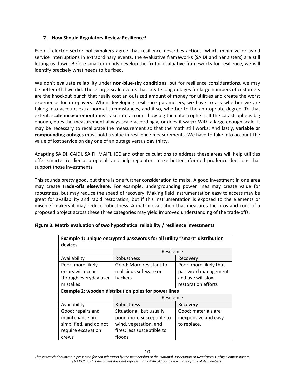### **7. How Should Regulators Review Resilience?**

Even if electric sector policymakers agree that resilience describes actions, which minimize or avoid service interruptions in extraordinary events, the evaluative frameworks (SAIDI and her sisters) are still letting us down. Before smarter minds develop the fix for evaluative frameworks for resilience, we will identify precisely what needs to be fixed.

We don't evaluate reliability under **non-blue-sky conditions**, but for resilience considerations, we may be better off if we did. Those large-scale events that create long outages for large numbers of customers are the knockout punch that really cost an outsized amount of money for utilities and create the worst experience for ratepayers. When developing resilience parameters, we have to ask whether we are taking into account extra-normal circumstances, and if so, whether to the appropriate degree. To that extent, **scale measurement** must take into account how big the catastrophe is. If the catastrophe is big enough, does the measurement always scale accordingly, or does it warp? With a large enough scale, it may be necessary to recalibrate the measurement so that the math still works. And lastly, **variable or compounding outages** must hold a value in resilience measurements. We have to take into account the value of lost service on day one of an outage versus day thirty.

Adapting SAIDI, CAIDI, SAIFI, MAIFI, ICE and other calculations to address these areas will help utilities offer smarter resilience proposals and help regulators make better-informed prudence decisions that support those investments.

This sounds pretty good, but there is one further consideration to make. A good investment in one area may create **trade-offs elsewhere**. For example, undergrounding power lines may create value for robustness, but may reduce the speed of recovery. Making field instrumentation easy to access may be great for availability and rapid restoration, but if this instrumentation is exposed to the elements or mischief-makers it may reduce robustness. A matrix evaluation that measures the pros and cons of a proposed project across these three categories may yield improved understanding of the trade-offs.

| Example 1: unique encrypted passwords for all utility "smart" distribution |                            |                        |  |  |  |  |
|----------------------------------------------------------------------------|----------------------------|------------------------|--|--|--|--|
| devices                                                                    |                            |                        |  |  |  |  |
|                                                                            | Resilience                 |                        |  |  |  |  |
| Availability                                                               | Robustness                 | Recovery               |  |  |  |  |
| Poor: more likely                                                          | Good: More resistant to    | Poor: more likely that |  |  |  |  |
| errors will occur                                                          | malicious software or      | password management    |  |  |  |  |
| through everyday user                                                      | hackers                    | and use will slow      |  |  |  |  |
| mistakes                                                                   |                            | restoration efforts    |  |  |  |  |
| Example 2: wooden distribution poles for power lines                       |                            |                        |  |  |  |  |
|                                                                            | Resilience                 |                        |  |  |  |  |
| Availability                                                               | Robustness                 | Recovery               |  |  |  |  |
| Good: repairs and                                                          | Situational, but usually   | Good: materials are    |  |  |  |  |
| maintenance are                                                            | poor: more susceptible to  | inexpensive and easy   |  |  |  |  |
| simplified, and do not                                                     | wind, vegetation, and      | to replace.            |  |  |  |  |
| require excavation                                                         | fires; less susceptible to |                        |  |  |  |  |
| crews                                                                      | floods                     |                        |  |  |  |  |

### **Figure 3. Matrix evaluation of two hypothetical reliability / resilience investments**

*This research document is presented for consideration by the membership of the National Association of Regulatory Utility Commissioners (NARUC). This document does not represent any NARUC policy nor those of any of its members.*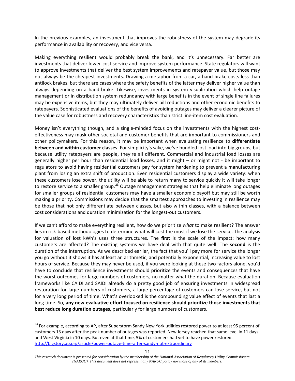In the previous examples, an investment that improves the robustness of the system may degrade its performance in availability or recovery, and vice versa.

Making everything resilient would probably break the bank, and it's unnecessary. Far better are investments that deliver lower-cost service and improve system performance. State regulators will want to approve investments that deliver the best system improvements and ratepayer value, but those may not always be the cheapest investments. Drawing a metaphor from a car, a hand-brake costs less than antilock brakes, but there are cases where the safety benefits of the latter may deliver higher value than always depending on a hand-brake. Likewise, investments in system visualization which help outage management or in distribution system redundancy with large benefits in the event of single line failures may be expensive items, but they may ultimately deliver bill reductions and other economic benefits to ratepayers. Sophisticated evaluations of the benefits of avoiding outages may deliver a clearer picture of the value case for robustness and recovery characteristics than strict line-item cost evaluation.

Money isn't everything though, and a single-minded focus on the investments with the highest costeffectiveness may mask other societal and customer benefits that are important to commissioners and other policymakers. For this reason, it may be important when evaluating resilience to **differentiate between and within customer classes**. For simplicity's sake, we've bundled lost load into big groups, but because utility ratepayers are people, they're all different. Commercial and industrial load losses are generally higher per hour than residential load losses, and it might – or might not - be important to regulators to avoid having residential customers pay for system hardening to prevent a manufacturing plant from losing an extra shift of production. Even residential customers display a wide variety: when these customers lose power, the utility will be able to return many to service quickly it will take longer to restore service to a smaller group.<sup>[23](#page-12-0)</sup> Outage management strategies that help eliminate long outages for smaller groups of residential customers may have a smaller economic payoff but may still be worth making a priority. Commissions may decide that the smartest approaches to investing in resilience may be those that not only differentiate between classes, but also within classes, with a balance between cost considerations and duration minimization for the longest-out customers.

If we can't afford to make everything resilient, how do we prioritize *what* to make resilient? The answer lies in risk-based methodologies to determine what will cost the most if we lose the service. The analysis for valuation of lost kWh's uses three structures. The **first** is the scale of the impact: how many customers are affected? The existing systems we have deal with that quite well. The **second** is the duration of the interruption. As we described earlier, the fact that you'll pay more for service the longer you go without it shows it has at least an arithmetic, and potentially exponential, increasing value to lost hours of service. Because they may never be used, if you were looking at these two factors alone, you'd have to conclude that resilience investments should prioritize the events and consequences that have the worst outcomes for large numbers of customers, no matter what the duration. Because evaluation frameworks like CAIDI and SAIDI already do a pretty good job of ensuring investments in widespread restoration for large numbers of customers, a large percentage of customers can lose service, but not for a very long period of time. What's overlooked is the compounding value effect of events that last a long time. So, **any new evaluative effort focused on resilience should prioritize those investments that best reduce long duration outages,** particularly for large numbers of customers.

<span id="page-12-0"></span><sup>&</sup>lt;sup>23</sup> For example, according to AP, after Superstorm Sandy New York utilities restored power to at least 95 percent of customers 13 days after the peak number of outages was reported. New Jersey reached that same level in 11 days and West Virginia in 10 days. But even at that time, 5% of customers had yet to have power restored. <http://bigstory.ap.org/article/power-outage-time-after-sandy-not-extraordinary>

*This research document is presented for consideration by the membership of the National Association of Regulatory Utility Commissioners (NARUC). This document does not represent any NARUC policy nor those of any of its members.*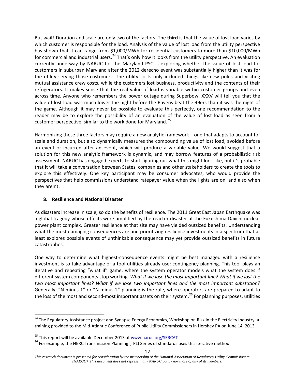But wait! Duration and scale are only two of the factors. The **third** is that the value of lost load varies by which customer is responsible for the load. Analysis of the value of lost load from the utility perspective has shown that it can range from \$1,000/MWh for residential customers to more than \$10,000/MWh for commercial and industrial users.<sup>[24](#page-13-0)</sup> That's only how it looks from the utility perspective. An evaluation currently underway by NARUC for the Maryland PSC is exploring whether the value of lost load for customers in suburban Maryland after the 2012 derecho event was substantially higher than it was for the utility serving those customers. The utility costs only included things like new poles and visiting mutual assistance crew costs, while the customers lost business, productivity and the contents of their refrigerators. It makes sense that the real value of load is variable within customer groups and even across time. Anyone who remembers the power outage during Superbowl XXXV will tell you that the value of lost load was much lower the night before the Ravens beat the 49ers than it was the night of the game. Although it may never be possible to evaluate this perfectly, one recommendation to the reader may be to explore the possibility of an evaluation of the value of lost load as seen from a customer perspective, similar to the work done for Maryland.<sup>[25](#page-13-1)</sup>

Harmonizing these three factors may require a new analytic framework – one that adapts to account for scale and duration, but also dynamically measures the compounding value of lost load, avoided before an event or incurred after an event, which will produce a variable value. We would suggest that a solution for this new analytic framework is dynamic, and may borrow features of a probabilistic risk assessment. NARUC has engaged experts to start figuring out what this might look like, but it's probable that it will take a conversation between States, companies and other stakeholders to create the tools to explore this effectively. One key participant may be consumer advocates, who would provide the perspectives that help commissions understand ratepayer value when the lights are on, and also when they aren't.

### **8. Resilience and National Disaster**

As disasters increase in scale, so do the benefits of resilience. The 2011 Great East Japan Earthquake was a global tragedy whose effects were amplified by the reactor disaster at the Fukushima Daiichi nuclear power plant complex. Greater resilience at that site may have yielded outsized benefits. Understanding what the most damaging consequences are and prioritizing resilience investments in a spectrum that at least explores possible events of unthinkable consequence may yet provide outsized benefits in future catastrophes.

One way to determine what highest-consequence events might be best managed with a resilience investment is to take advantage of a tool utilities already use: contingency planning. This tool plays an iterative and repeating "what if" game, where the system operator models what the system does if different system components stop working. *What if we lose the most important line? What if we lost the two most important lines? What if we lose two important lines and the most important substation?* Generally, "N minus 1" or "N minus 2" planning is the rule, where operators are prepared to adapt to the loss of the most and second-most important assets on their system.<sup>[26](#page-13-2)</sup> For planning purposes, utilities

<span id="page-13-0"></span><sup>&</sup>lt;sup>24</sup> The Regulatory Assistance project and Synapse Energy Economics, Workshop on Risk in the Electricity Industry, a training provided to the Mid-Atlantic Conference of Public Utility Commissioners in Hershey PA on June 14, 2013.

<span id="page-13-2"></span><span id="page-13-1"></span><sup>&</sup>lt;sup>25</sup> This report will be available December 2013 at **www.naruc.org/SERCAT**<br><sup>26</sup> For example, the NERC Transmission Planning (TPL) Series of standards uses this iterative method.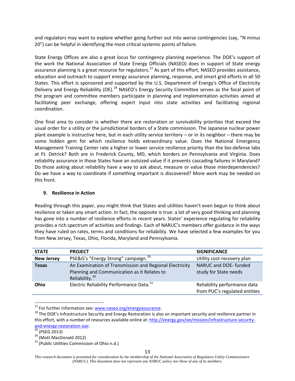and regulators may want to explore whether going further out into worse contingencies (say, "N minus 20") can be helpful in identifying the most critical systemic points of failure.

State Energy Offices are also a great locus for contingency planning experience. The DOE's support of the work the National Association of State Energy Officials (NASEO) does in support of State energy assurance planning is a great resource for regulators.<sup>[27](#page-14-0)</sup> As part of this effort, NASEO provides assistance, education and outreach to support energy assurance planning, response, and smart grid efforts in all 50 States. This effort is sponsored and supported by the U.S. Department of Energy's Office of Electricity Delivery and Energy Reliability (OE).<sup>[28](#page-14-1)</sup> NASEO's Energy Security Committee serves as the focal point of the program and committee members participate in planning and implementation activities aimed at facilitating peer exchange, offering expert input into state activities and facilitating regional coordination.

One final area to consider is whether there are restoration or survivability priorities that exceed the usual order for a utility or the jurisdictional borders of a State commission. The Japanese nuclear power plant example is instructive here, but in each utility service territory – or in its neighbor – there may be some hidden gem for which resilience holds extraordinary value. Does the National Emergency Management Training Center rate a higher or lower service resilience priority than the bio-defense labs at Ft. Detrick? Both are in Frederick County, MD, which borders on Pennsylvania and Virginia. Does reliability assurance in those States have an outsized value if it prevents cascading failures in Maryland? Do those asking about reliability have a way to ask about, measure or value those interdependencies? Do we have a way to coordinate if something important is discovered? More work may be needed on this front.

### **9. Resilience in Action**

Reading through this paper, you might think that States and utilities haven't even begun to think about resilience or taken any smart action. In fact, the opposite is true: a lot of very good thinking and planning has gone into a number of resilience efforts in recent years. States' experience regulating for reliability provides a rich spectrum of activities and findings. Each of NARUC's members offer guidance in the ways they have ruled on rates, terms and conditions for reliability. We have selected a few examples for you from New Jersey, Texas, Ohio, Florida, Maryland and Pennsylvania.

| <b>STATE</b>      | <b>PROJECT</b>                                                                                                                       | <b>SIGNIFICANCE</b>                                           |
|-------------------|--------------------------------------------------------------------------------------------------------------------------------------|---------------------------------------------------------------|
|                   |                                                                                                                                      |                                                               |
| <b>New Jersey</b> | PSE&G's "Energy Strong" campaign. <sup>29</sup>                                                                                      | Utility cost-recovery plan                                    |
| <b>Texas</b>      | An Examination of Transmission and Regional Electricity<br>Planning and Communication as it Relates to<br>Reliability. <sup>30</sup> | NARUC and DOE- funded<br>study for State needs                |
| Ohio              | Electric Reliability Performance Data. <sup>31</sup>                                                                                 | Reliability performance data<br>from PUC's regulated entities |

<span id="page-14-1"></span><span id="page-14-0"></span><sup>&</sup>lt;sup>27</sup> For further information see: www.naseo.org/energyassurance.<br><sup>28</sup> The DOE's Infrastructure Security and Energy Restoration is also an important security and resilience partner in this effort, with a number of resources available online at: [http://energy.gov/oe/mission/infrastructure-security-](http://energy.gov/oe/mission/infrastructure-security-and-energy-restoration-iser)

<span id="page-14-2"></span>

<span id="page-14-4"></span><span id="page-14-3"></span>

and-energy-restoration-iser.<br><sup>29</sup> (PSEG 2013)<br><sup>30</sup> (Mott MacDonald 2012)<br><sup>31</sup> (Public Utilities Commission of Ohio n.d.)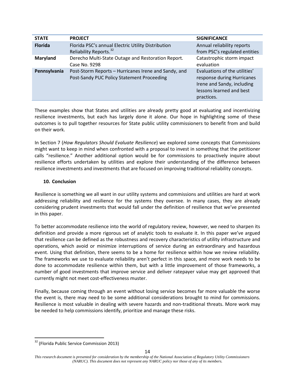| <b>STATE</b>   | <b>PROJECT</b>                                                                                     | <b>SIGNIFICANCE</b>                                                                                                                 |
|----------------|----------------------------------------------------------------------------------------------------|-------------------------------------------------------------------------------------------------------------------------------------|
| <b>Florida</b> | Florida PSC's annual Electric Utility Distribution<br>Reliability Reports. <sup>32</sup>           | Annual reliability reports<br>from PSC's regulated entities                                                                         |
| Maryland       | Derecho Multi-State Outage and Restoration Report.<br>Case No. 9298                                | Catastrophic storm impact<br>evaluation                                                                                             |
| Pennsylvania   | Post-Storm Reports - Hurricanes Irene and Sandy, and<br>Post-Sandy PUC Policy Statement Proceeding | Evaluations of the utilities'<br>response during Hurricanes<br>Irene and Sandy, including<br>lessons learned and best<br>practices. |

These examples show that States and utilities are already pretty good at evaluating and incentivizing resilience investments, but each has largely done it alone. Our hope in highlighting some of these outcomes is to pull together resources for State public utility commissioners to benefit from and build on their work.

In Section 7 (*How Regulators Should Evaluate Resilience*) we explored some concepts that Commissions might want to keep in mind when confronted with a proposal to invest in something that the petitioner calls "resilience." Another additional option would be for commissions to proactively inquire about resilience efforts undertaken by utilities and explore their understanding of the difference between resilience investments and investments that are focused on improving traditional reliability concepts.

# **10. Conclusion**

Resilience is something we all want in our utility systems and commissions and utilities are hard at work addressing reliability and resilience for the systems they oversee. In many cases, they are already considering prudent investments that would fall under the definition of resilience that we've presented in this paper.

To better accommodate resilience into the world of regulatory review, however, we need to sharpen its definition and provide a more rigorous set of analytic tools to evaluate it. In this paper we've argued that resilience can be defined as the robustness and recovery characteristics of utility infrastructure and operations, which avoid or minimize interruptions of service during an extraordinary and hazardous event. Using that definition, there seems to be a home for resilience within how we review reliability. The frameworks we use to evaluate reliability aren't perfect in this space, and more work needs to be done to accommodate resilience within them, but with a little improvement of those frameworks, a number of good investments that improve service and deliver ratepayer value may get approved that currently might not meet cost-effectiveness muster.

Finally, because coming through an event without losing service becomes far more valuable the worse the event is, there may need to be some additional considerations brought to mind for commissions. Resilience is most valuable in dealing with severe hazards and non-traditional threats. More work may be needed to help commissions identify, prioritize and manage these risks.

<span id="page-15-0"></span><sup>&</sup>lt;sup>32</sup> (Florida Public Service Commission 2013)